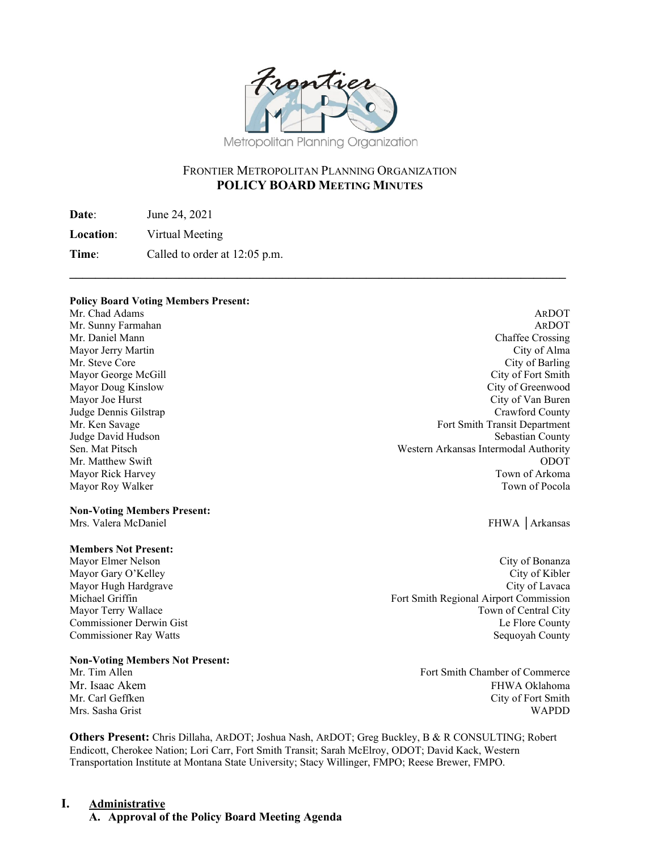

## FRONTIER METROPOLITAN PLANNING ORGANIZATION **POLICY BOARD MEETING MINUTES**

**\_\_\_\_\_\_\_\_\_\_\_\_\_\_\_\_\_\_\_\_\_\_\_\_\_\_\_\_\_\_\_\_\_\_\_\_\_\_\_\_\_\_\_\_\_\_\_\_\_\_\_\_\_\_\_\_\_\_\_\_\_\_\_\_\_\_\_\_\_\_\_\_\_\_\_\_\_** 

**Date**: June 24, 2021

**Location**: Virtual Meeting

**Time:** Called to order at 12:05 p.m.

#### **Policy Board Voting Members Present:**

Mr. Chad Adams **ARDOT** ARDOT Judge Dennis Gilstrap Mayor Roy Walker

# **Non-Voting Members Present:**

#### **Members Not Present:**

Mayor Hugh Hardgrave

#### **Non-Voting Members Not Present:**

Mr. Sunny Farmahan ARDOT Mr. Daniel Mann Chaffee Crossing Mayor Jerry Martin City of Alma Mr. Steve Core Core City of Barling City of Barling City of Barling City of Barling Mayor George McGill **City of Fort Smith** Mayor Doug Kinslow City of Greenwood Mayor Joe Hurst City of Van Buren<br>
Judge Dennis Gilstrap County (City of Van Buren)<br>
Crawford County Mr. Ken Savage Fort Smith Transit Department Judge David Hudson Sebastian County Sen. Mat Pitsch Western Arkansas Intermodal Authority Mr. Matthew Swift ODOT Mayor Rick Harvey Town of Arkoma

FHWA │Arkansas

Mayor Elmer Nelson City of Bonanza Mayor Gary O'Kelley City of Kibler Michael Griffin Fort Smith Regional Airport Commission Mayor Terry Wallace **The Community Community** Town of Central City Commissioner Derwin Gist Le Flore County Commissioner Ray Watts Sequoyah County

Mr. Tim Allen Fort Smith Chamber of Commerce Mr. Isaac Akem **FHWA Oklahoma** Mr. Carl Geffken City of Fort Smith Mrs. Sasha Grist WAPDD

**Others Present:** Chris Dillaha, ARDOT; Joshua Nash, ARDOT; Greg Buckley, B & R CONSULTING; Robert Endicott, Cherokee Nation; Lori Carr, Fort Smith Transit; Sarah McElroy, ODOT; David Kack, Western Transportation Institute at Montana State University; Stacy Willinger, FMPO; Reese Brewer, FMPO.

### **I. Administrative**

**A. Approval of the Policy Board Meeting Agenda**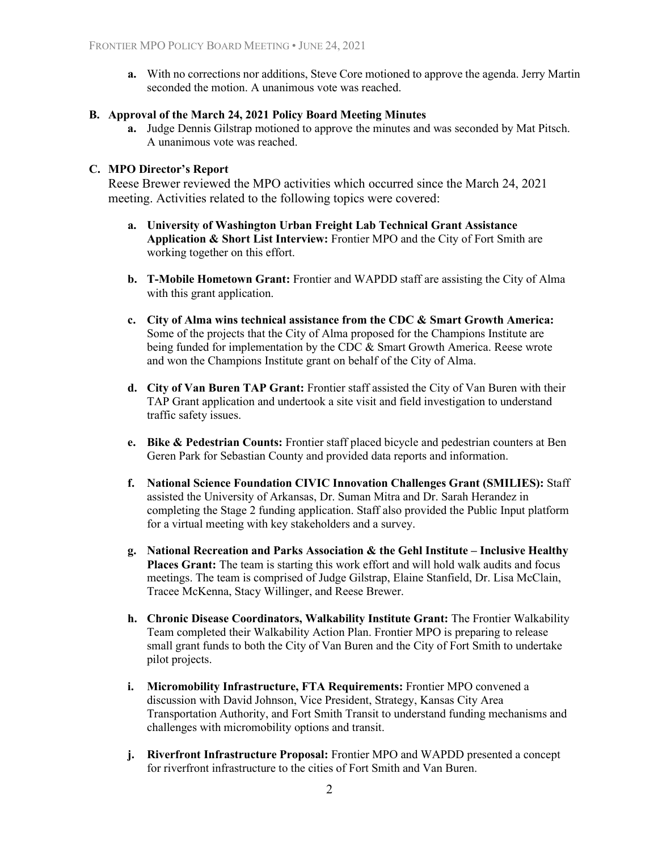**a.** With no corrections nor additions, Steve Core motioned to approve the agenda. Jerry Martin seconded the motion. A unanimous vote was reached.

#### **B. Approval of the March 24, 2021 Policy Board Meeting Minutes**

**a.** Judge Dennis Gilstrap motioned to approve the minutes and was seconded by Mat Pitsch. A unanimous vote was reached.

#### **C. MPO Director's Report**

Reese Brewer reviewed the MPO activities which occurred since the March 24, 2021 meeting. Activities related to the following topics were covered:

- **a. University of Washington Urban Freight Lab Technical Grant Assistance Application & Short List Interview:** Frontier MPO and the City of Fort Smith are working together on this effort.
- **b. T-Mobile Hometown Grant:** Frontier and WAPDD staff are assisting the City of Alma with this grant application.
- **c. City of Alma wins technical assistance from the CDC & Smart Growth America:**  Some of the projects that the City of Alma proposed for the Champions Institute are being funded for implementation by the CDC & Smart Growth America. Reese wrote and won the Champions Institute grant on behalf of the City of Alma.
- **d. City of Van Buren TAP Grant:** Frontier staff assisted the City of Van Buren with their TAP Grant application and undertook a site visit and field investigation to understand traffic safety issues.
- **e. Bike & Pedestrian Counts:** Frontier staff placed bicycle and pedestrian counters at Ben Geren Park for Sebastian County and provided data reports and information.
- **f. National Science Foundation CIVIC Innovation Challenges Grant (SMILIES):** Staff assisted the University of Arkansas, Dr. Suman Mitra and Dr. Sarah Herandez in completing the Stage 2 funding application. Staff also provided the Public Input platform for a virtual meeting with key stakeholders and a survey.
- **g. National Recreation and Parks Association & the Gehl Institute Inclusive Healthy Places Grant:** The team is starting this work effort and will hold walk audits and focus meetings. The team is comprised of Judge Gilstrap, Elaine Stanfield, Dr. Lisa McClain, Tracee McKenna, Stacy Willinger, and Reese Brewer.
- **h. Chronic Disease Coordinators, Walkability Institute Grant:** The Frontier Walkability Team completed their Walkability Action Plan. Frontier MPO is preparing to release small grant funds to both the City of Van Buren and the City of Fort Smith to undertake pilot projects.
- **i. Micromobility Infrastructure, FTA Requirements:** Frontier MPO convened a discussion with David Johnson, Vice President, Strategy, Kansas City Area Transportation Authority, and Fort Smith Transit to understand funding mechanisms and challenges with micromobility options and transit.
- **j. Riverfront Infrastructure Proposal:** Frontier MPO and WAPDD presented a concept for riverfront infrastructure to the cities of Fort Smith and Van Buren.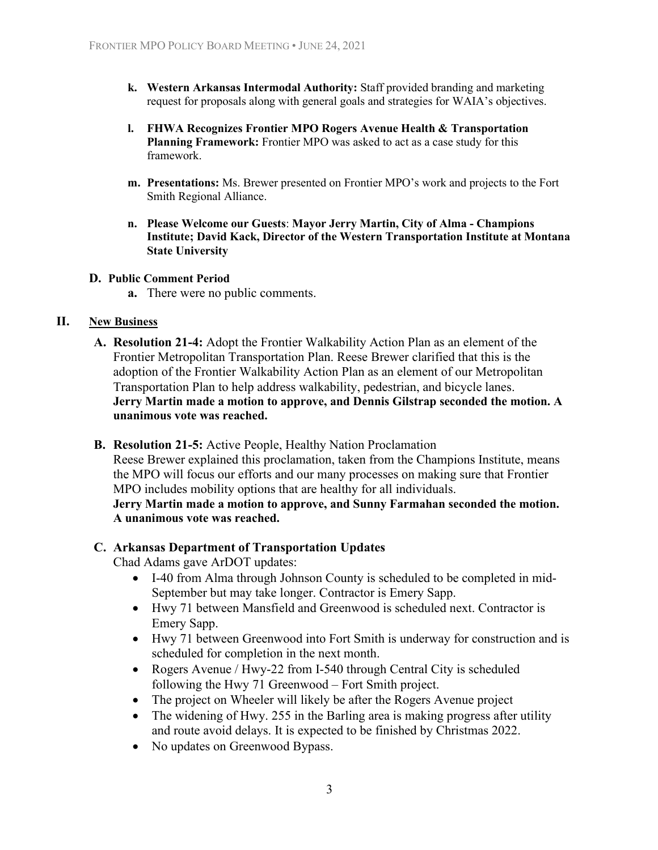- **k. Western Arkansas Intermodal Authority:** Staff provided branding and marketing request for proposals along with general goals and strategies for WAIA's objectives.
- **l. FHWA Recognizes Frontier MPO Rogers Avenue Health & Transportation Planning Framework:** Frontier MPO was asked to act as a case study for this framework.
- **m. Presentations:** Ms. Brewer presented on Frontier MPO's work and projects to the Fort Smith Regional Alliance.
- **n. Please Welcome our Guests**: **Mayor Jerry Martin, City of Alma Champions Institute; David Kack, Director of the Western Transportation Institute at Montana State University**

#### **D. Public Comment Period**

**a.** There were no public comments.

### **II. New Business**

- **A. Resolution 21-4:** Adopt the Frontier Walkability Action Plan as an element of the Frontier Metropolitan Transportation Plan. Reese Brewer clarified that this is the adoption of the Frontier Walkability Action Plan as an element of our Metropolitan Transportation Plan to help address walkability, pedestrian, and bicycle lanes. **Jerry Martin made a motion to approve, and Dennis Gilstrap seconded the motion. A unanimous vote was reached.**
- **B. Resolution 21-5:** Active People, Healthy Nation Proclamation

Reese Brewer explained this proclamation, taken from the Champions Institute, means the MPO will focus our efforts and our many processes on making sure that Frontier MPO includes mobility options that are healthy for all individuals.

**Jerry Martin made a motion to approve, and Sunny Farmahan seconded the motion. A unanimous vote was reached.**

#### **C. Arkansas Department of Transportation Updates**

Chad Adams gave ArDOT updates:

- I-40 from Alma through Johnson County is scheduled to be completed in mid-September but may take longer. Contractor is Emery Sapp.
- Hwy 71 between Mansfield and Greenwood is scheduled next. Contractor is Emery Sapp.
- Hwy 71 between Greenwood into Fort Smith is underway for construction and is scheduled for completion in the next month.
- Rogers Avenue / Hwy-22 from I-540 through Central City is scheduled following the Hwy 71 Greenwood – Fort Smith project.
- The project on Wheeler will likely be after the Rogers Avenue project
- The widening of Hwy. 255 in the Barling area is making progress after utility and route avoid delays. It is expected to be finished by Christmas 2022.
- No updates on Greenwood Bypass.